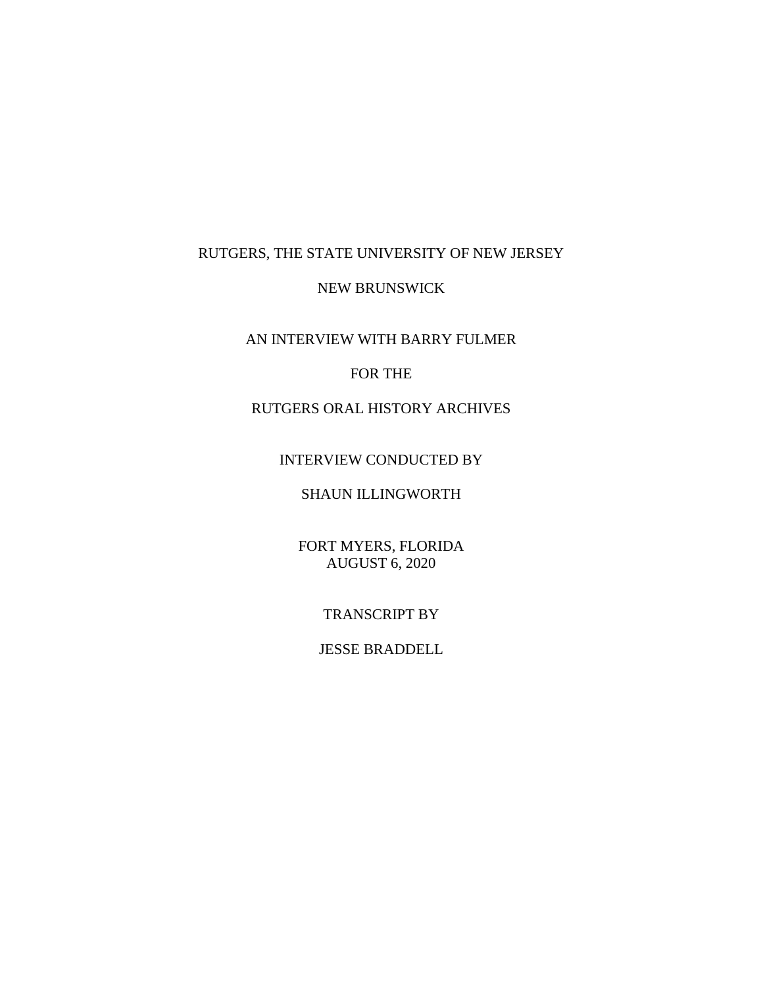# RUTGERS, THE STATE UNIVERSITY OF NEW JERSEY

### NEW BRUNSWICK

AN INTERVIEW WITH BARRY FULMER

## FOR THE

## RUTGERS ORAL HISTORY ARCHIVES

## INTERVIEW CONDUCTED BY

## SHAUN ILLINGWORTH

FORT MYERS, FLORIDA AUGUST 6, 2020

## TRANSCRIPT BY

## JESSE BRADDELL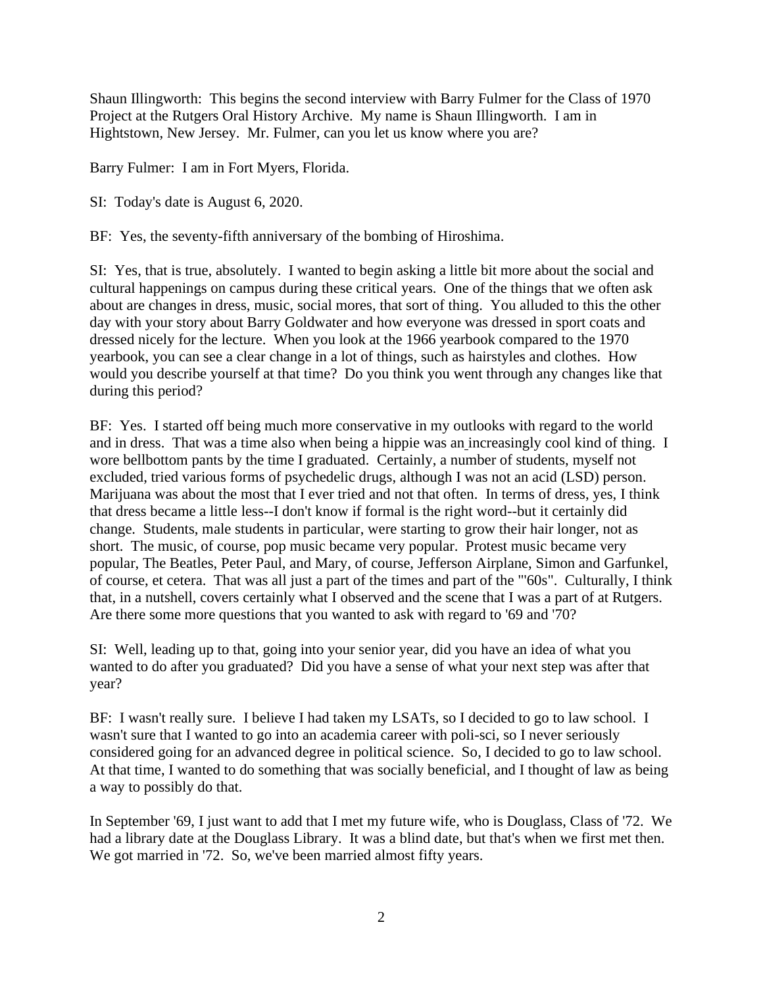Shaun Illingworth: This begins the second interview with Barry Fulmer for the Class of 1970 Project at the Rutgers Oral History Archive. My name is Shaun Illingworth. I am in Hightstown, New Jersey. Mr. Fulmer, can you let us know where you are?

Barry Fulmer: I am in Fort Myers, Florida.

SI: Today's date is August 6, 2020.

BF: Yes, the seventy-fifth anniversary of the bombing of Hiroshima.

SI: Yes, that is true, absolutely. I wanted to begin asking a little bit more about the social and cultural happenings on campus during these critical years. One of the things that we often ask about are changes in dress, music, social mores, that sort of thing. You alluded to this the other day with your story about Barry Goldwater and how everyone was dressed in sport coats and dressed nicely for the lecture. When you look at the 1966 yearbook compared to the 1970 yearbook, you can see a clear change in a lot of things, such as hairstyles and clothes. How would you describe yourself at that time? Do you think you went through any changes like that during this period?

BF: Yes. I started off being much more conservative in my outlooks with regard to the world and in dress. That was a time also when being a hippie was an increasingly cool kind of thing. I wore bellbottom pants by the time I graduated. Certainly, a number of students, myself not excluded, tried various forms of psychedelic drugs, although I was not an acid (LSD) person. Marijuana was about the most that I ever tried and not that often. In terms of dress, yes, I think that dress became a little less--I don't know if formal is the right word--but it certainly did change. Students, male students in particular, were starting to grow their hair longer, not as short. The music, of course, pop music became very popular. Protest music became very popular, The Beatles, Peter Paul, and Mary, of course, Jefferson Airplane, Simon and Garfunkel, of course, et cetera. That was all just a part of the times and part of the "'60s". Culturally, I think that, in a nutshell, covers certainly what I observed and the scene that I was a part of at Rutgers. Are there some more questions that you wanted to ask with regard to '69 and '70?

SI: Well, leading up to that, going into your senior year, did you have an idea of what you wanted to do after you graduated? Did you have a sense of what your next step was after that year?

BF: I wasn't really sure. I believe I had taken my LSATs, so I decided to go to law school. I wasn't sure that I wanted to go into an academia career with poli-sci, so I never seriously considered going for an advanced degree in political science. So, I decided to go to law school. At that time, I wanted to do something that was socially beneficial, and I thought of law as being a way to possibly do that.

In September '69, I just want to add that I met my future wife, who is Douglass, Class of '72. We had a library date at the Douglass Library. It was a blind date, but that's when we first met then. We got married in '72. So, we've been married almost fifty years.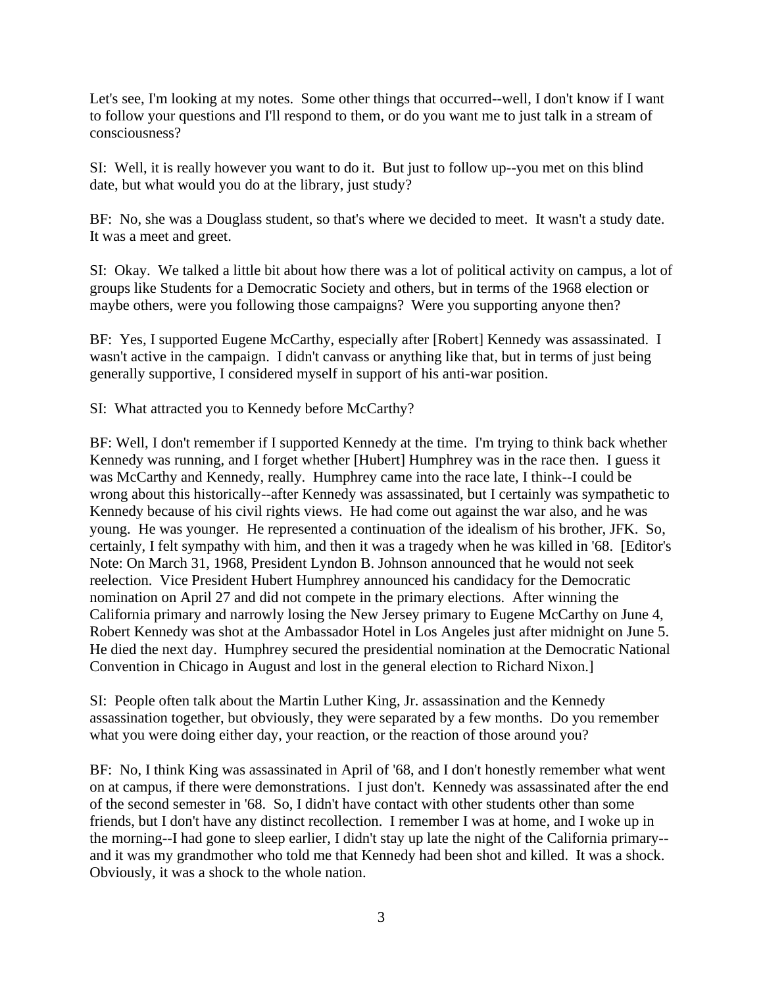Let's see, I'm looking at my notes. Some other things that occurred--well, I don't know if I want to follow your questions and I'll respond to them, or do you want me to just talk in a stream of consciousness?

SI: Well, it is really however you want to do it. But just to follow up--you met on this blind date, but what would you do at the library, just study?

BF: No, she was a Douglass student, so that's where we decided to meet. It wasn't a study date. It was a meet and greet.

SI: Okay. We talked a little bit about how there was a lot of political activity on campus, a lot of groups like Students for a Democratic Society and others, but in terms of the 1968 election or maybe others, were you following those campaigns? Were you supporting anyone then?

BF: Yes, I supported Eugene McCarthy, especially after [Robert] Kennedy was assassinated. I wasn't active in the campaign. I didn't canvass or anything like that, but in terms of just being generally supportive, I considered myself in support of his anti-war position.

SI: What attracted you to Kennedy before McCarthy?

BF: Well, I don't remember if I supported Kennedy at the time. I'm trying to think back whether Kennedy was running, and I forget whether [Hubert] Humphrey was in the race then. I guess it was McCarthy and Kennedy, really. Humphrey came into the race late, I think--I could be wrong about this historically--after Kennedy was assassinated, but I certainly was sympathetic to Kennedy because of his civil rights views. He had come out against the war also, and he was young. He was younger. He represented a continuation of the idealism of his brother, JFK. So, certainly, I felt sympathy with him, and then it was a tragedy when he was killed in '68. [Editor's Note: On March 31, 1968, President Lyndon B. Johnson announced that he would not seek reelection. Vice President Hubert Humphrey announced his candidacy for the Democratic nomination on April 27 and did not compete in the primary elections. After winning the California primary and narrowly losing the New Jersey primary to Eugene McCarthy on June 4, Robert Kennedy was shot at the Ambassador Hotel in Los Angeles just after midnight on June 5. He died the next day. Humphrey secured the presidential nomination at the Democratic National Convention in Chicago in August and lost in the general election to Richard Nixon.]

SI: People often talk about the Martin Luther King, Jr. assassination and the Kennedy assassination together, but obviously, they were separated by a few months. Do you remember what you were doing either day, your reaction, or the reaction of those around you?

BF: No, I think King was assassinated in April of '68, and I don't honestly remember what went on at campus, if there were demonstrations. I just don't. Kennedy was assassinated after the end of the second semester in '68. So, I didn't have contact with other students other than some friends, but I don't have any distinct recollection. I remember I was at home, and I woke up in the morning--I had gone to sleep earlier, I didn't stay up late the night of the California primary- and it was my grandmother who told me that Kennedy had been shot and killed. It was a shock. Obviously, it was a shock to the whole nation.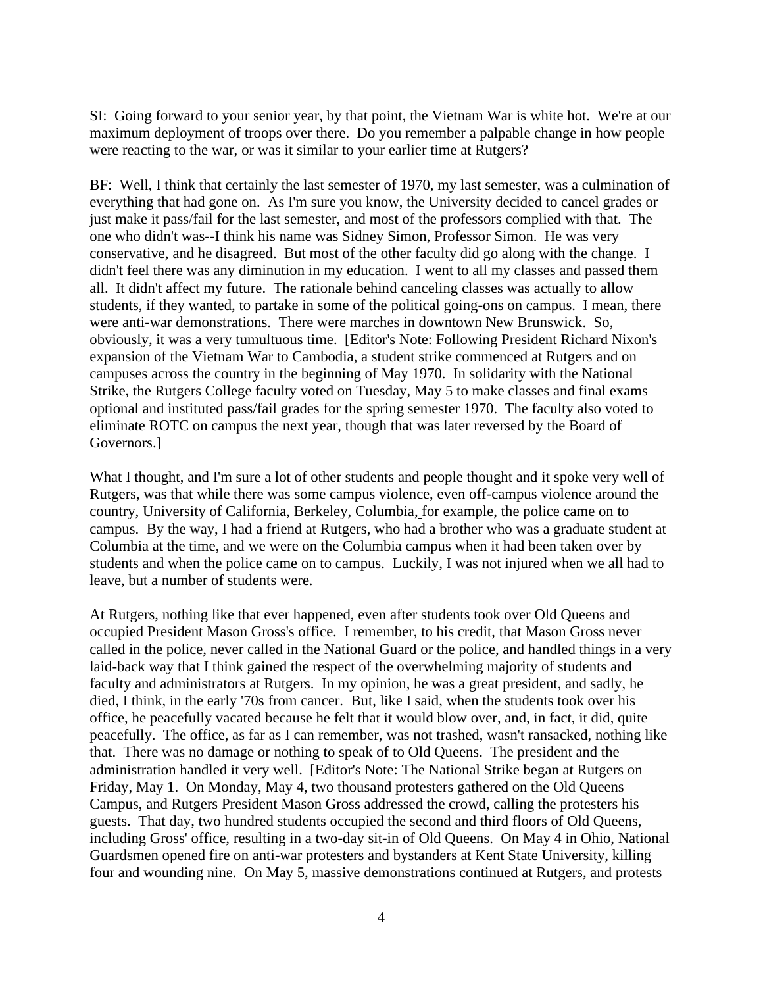SI: Going forward to your senior year, by that point, the Vietnam War is white hot. We're at our maximum deployment of troops over there. Do you remember a palpable change in how people were reacting to the war, or was it similar to your earlier time at Rutgers?

BF: Well, I think that certainly the last semester of 1970, my last semester, was a culmination of everything that had gone on. As I'm sure you know, the University decided to cancel grades or just make it pass/fail for the last semester, and most of the professors complied with that. The one who didn't was--I think his name was Sidney Simon, Professor Simon. He was very conservative, and he disagreed. But most of the other faculty did go along with the change. I didn't feel there was any diminution in my education. I went to all my classes and passed them all. It didn't affect my future. The rationale behind canceling classes was actually to allow students, if they wanted, to partake in some of the political going-ons on campus. I mean, there were anti-war demonstrations. There were marches in downtown New Brunswick. So, obviously, it was a very tumultuous time. [Editor's Note: Following President Richard Nixon's expansion of the Vietnam War to Cambodia, a student strike commenced at Rutgers and on campuses across the country in the beginning of May 1970. In solidarity with the National Strike, the Rutgers College faculty voted on Tuesday, May 5 to make classes and final exams optional and instituted pass/fail grades for the spring semester 1970. The faculty also voted to eliminate ROTC on campus the next year, though that was later reversed by the Board of Governors.]

What I thought, and I'm sure a lot of other students and people thought and it spoke very well of Rutgers, was that while there was some campus violence, even off-campus violence around the country, University of California, Berkeley, Columbia, for example, the police came on to campus. By the way, I had a friend at Rutgers, who had a brother who was a graduate student at Columbia at the time, and we were on the Columbia campus when it had been taken over by students and when the police came on to campus. Luckily, I was not injured when we all had to leave, but a number of students were.

At Rutgers, nothing like that ever happened, even after students took over Old Queens and occupied President Mason Gross's office. I remember, to his credit, that Mason Gross never called in the police, never called in the National Guard or the police, and handled things in a very laid-back way that I think gained the respect of the overwhelming majority of students and faculty and administrators at Rutgers. In my opinion, he was a great president, and sadly, he died, I think, in the early '70s from cancer. But, like I said, when the students took over his office, he peacefully vacated because he felt that it would blow over, and, in fact, it did, quite peacefully. The office, as far as I can remember, was not trashed, wasn't ransacked, nothing like that. There was no damage or nothing to speak of to Old Queens. The president and the administration handled it very well. [Editor's Note: The National Strike began at Rutgers on Friday, May 1. On Monday, May 4, two thousand protesters gathered on the Old Queens Campus, and Rutgers President Mason Gross addressed the crowd, calling the protesters his guests. That day, two hundred students occupied the second and third floors of Old Queens, including Gross' office, resulting in a two-day sit-in of Old Queens. On May 4 in Ohio, National Guardsmen opened fire on anti-war protesters and bystanders at Kent State University, killing four and wounding nine. On May 5, massive demonstrations continued at Rutgers, and protests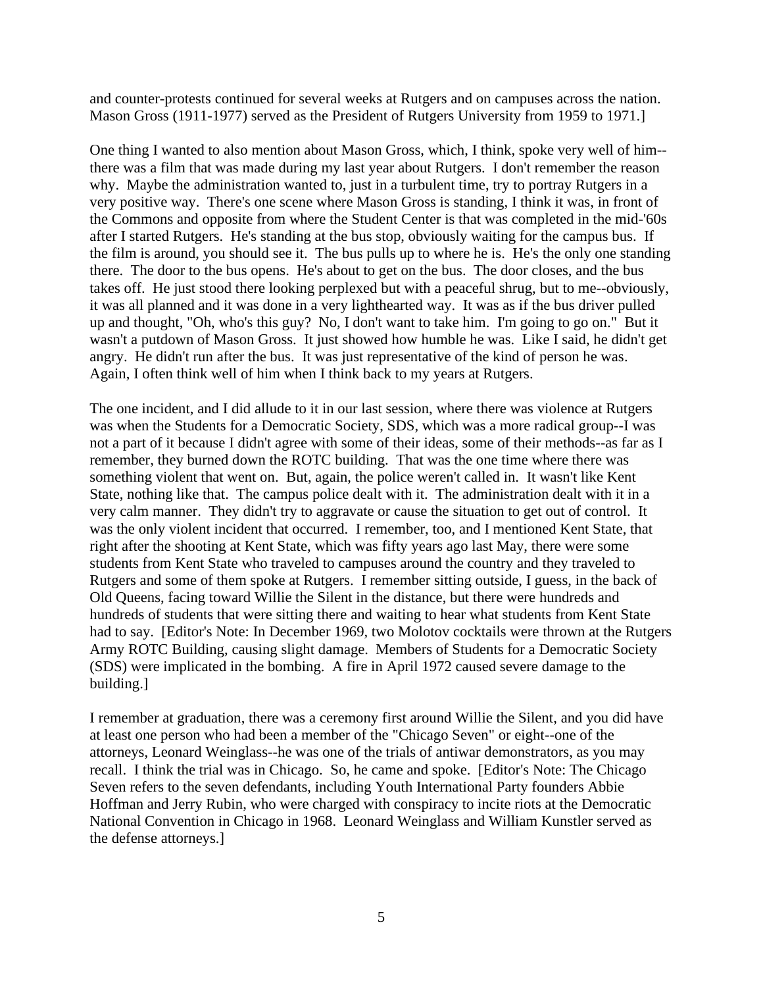and counter-protests continued for several weeks at Rutgers and on campuses across the nation. Mason Gross (1911-1977) served as the President of Rutgers University from 1959 to 1971.]

One thing I wanted to also mention about Mason Gross, which, I think, spoke very well of him- there was a film that was made during my last year about Rutgers. I don't remember the reason why. Maybe the administration wanted to, just in a turbulent time, try to portray Rutgers in a very positive way. There's one scene where Mason Gross is standing, I think it was, in front of the Commons and opposite from where the Student Center is that was completed in the mid-'60s after I started Rutgers. He's standing at the bus stop, obviously waiting for the campus bus. If the film is around, you should see it. The bus pulls up to where he is. He's the only one standing there. The door to the bus opens. He's about to get on the bus. The door closes, and the bus takes off. He just stood there looking perplexed but with a peaceful shrug, but to me--obviously, it was all planned and it was done in a very lighthearted way. It was as if the bus driver pulled up and thought, "Oh, who's this guy? No, I don't want to take him. I'm going to go on." But it wasn't a putdown of Mason Gross. It just showed how humble he was. Like I said, he didn't get angry. He didn't run after the bus. It was just representative of the kind of person he was. Again, I often think well of him when I think back to my years at Rutgers.

The one incident, and I did allude to it in our last session, where there was violence at Rutgers was when the Students for a Democratic Society, SDS, which was a more radical group--I was not a part of it because I didn't agree with some of their ideas, some of their methods--as far as I remember, they burned down the ROTC building. That was the one time where there was something violent that went on. But, again, the police weren't called in. It wasn't like Kent State, nothing like that. The campus police dealt with it. The administration dealt with it in a very calm manner. They didn't try to aggravate or cause the situation to get out of control. It was the only violent incident that occurred. I remember, too, and I mentioned Kent State, that right after the shooting at Kent State, which was fifty years ago last May, there were some students from Kent State who traveled to campuses around the country and they traveled to Rutgers and some of them spoke at Rutgers. I remember sitting outside, I guess, in the back of Old Queens, facing toward Willie the Silent in the distance, but there were hundreds and hundreds of students that were sitting there and waiting to hear what students from Kent State had to say. [Editor's Note: In December 1969, two Molotov cocktails were thrown at the Rutgers Army ROTC Building, causing slight damage. Members of Students for a Democratic Society (SDS) were implicated in the bombing. A fire in April 1972 caused severe damage to the building.]

I remember at graduation, there was a ceremony first around Willie the Silent, and you did have at least one person who had been a member of the "Chicago Seven" or eight--one of the attorneys, Leonard Weinglass--he was one of the trials of antiwar demonstrators, as you may recall. I think the trial was in Chicago. So, he came and spoke. [Editor's Note: The Chicago Seven refers to the seven defendants, including Youth International Party founders Abbie Hoffman and Jerry Rubin, who were charged with conspiracy to incite riots at the Democratic National Convention in Chicago in 1968. Leonard Weinglass and William Kunstler served as the defense attorneys.]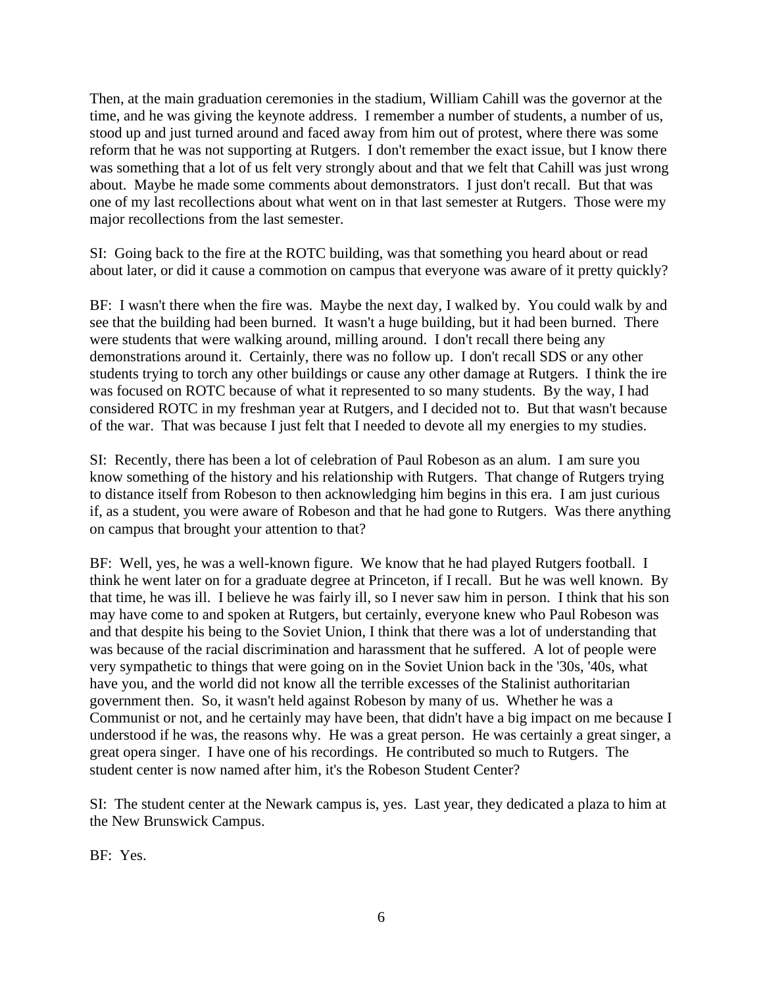Then, at the main graduation ceremonies in the stadium, William Cahill was the governor at the time, and he was giving the keynote address. I remember a number of students, a number of us, stood up and just turned around and faced away from him out of protest, where there was some reform that he was not supporting at Rutgers. I don't remember the exact issue, but I know there was something that a lot of us felt very strongly about and that we felt that Cahill was just wrong about. Maybe he made some comments about demonstrators. I just don't recall. But that was one of my last recollections about what went on in that last semester at Rutgers. Those were my major recollections from the last semester.

SI: Going back to the fire at the ROTC building, was that something you heard about or read about later, or did it cause a commotion on campus that everyone was aware of it pretty quickly?

BF: I wasn't there when the fire was. Maybe the next day, I walked by. You could walk by and see that the building had been burned. It wasn't a huge building, but it had been burned. There were students that were walking around, milling around. I don't recall there being any demonstrations around it. Certainly, there was no follow up. I don't recall SDS or any other students trying to torch any other buildings or cause any other damage at Rutgers. I think the ire was focused on ROTC because of what it represented to so many students. By the way, I had considered ROTC in my freshman year at Rutgers, and I decided not to. But that wasn't because of the war. That was because I just felt that I needed to devote all my energies to my studies.

SI: Recently, there has been a lot of celebration of Paul Robeson as an alum. I am sure you know something of the history and his relationship with Rutgers. That change of Rutgers trying to distance itself from Robeson to then acknowledging him begins in this era. I am just curious if, as a student, you were aware of Robeson and that he had gone to Rutgers. Was there anything on campus that brought your attention to that?

BF: Well, yes, he was a well-known figure. We know that he had played Rutgers football. I think he went later on for a graduate degree at Princeton, if I recall. But he was well known. By that time, he was ill. I believe he was fairly ill, so I never saw him in person. I think that his son may have come to and spoken at Rutgers, but certainly, everyone knew who Paul Robeson was and that despite his being to the Soviet Union, I think that there was a lot of understanding that was because of the racial discrimination and harassment that he suffered. A lot of people were very sympathetic to things that were going on in the Soviet Union back in the '30s, '40s, what have you, and the world did not know all the terrible excesses of the Stalinist authoritarian government then. So, it wasn't held against Robeson by many of us. Whether he was a Communist or not, and he certainly may have been, that didn't have a big impact on me because I understood if he was, the reasons why. He was a great person. He was certainly a great singer, a great opera singer. I have one of his recordings. He contributed so much to Rutgers. The student center is now named after him, it's the Robeson Student Center?

SI: The student center at the Newark campus is, yes. Last year, they dedicated a plaza to him at the New Brunswick Campus.

BF: Yes.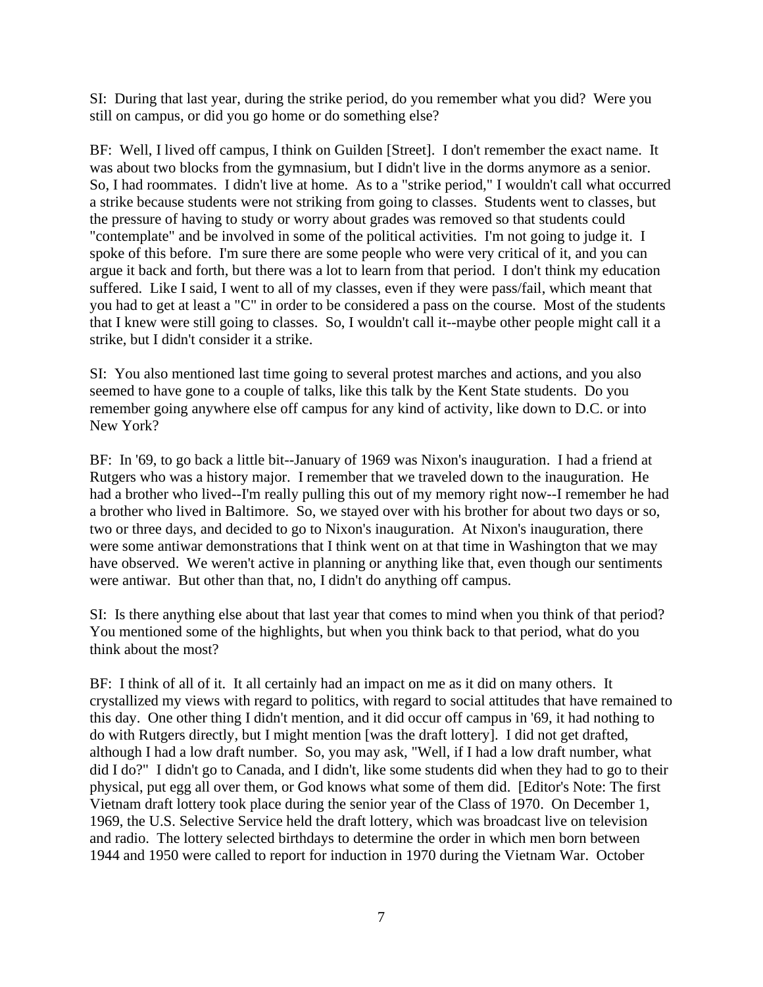SI: During that last year, during the strike period, do you remember what you did? Were you still on campus, or did you go home or do something else?

BF: Well, I lived off campus, I think on Guilden [Street]. I don't remember the exact name. It was about two blocks from the gymnasium, but I didn't live in the dorms anymore as a senior. So, I had roommates. I didn't live at home. As to a "strike period," I wouldn't call what occurred a strike because students were not striking from going to classes. Students went to classes, but the pressure of having to study or worry about grades was removed so that students could "contemplate" and be involved in some of the political activities. I'm not going to judge it. I spoke of this before. I'm sure there are some people who were very critical of it, and you can argue it back and forth, but there was a lot to learn from that period. I don't think my education suffered. Like I said, I went to all of my classes, even if they were pass/fail, which meant that you had to get at least a "C" in order to be considered a pass on the course. Most of the students that I knew were still going to classes. So, I wouldn't call it--maybe other people might call it a strike, but I didn't consider it a strike.

SI: You also mentioned last time going to several protest marches and actions, and you also seemed to have gone to a couple of talks, like this talk by the Kent State students. Do you remember going anywhere else off campus for any kind of activity, like down to D.C. or into New York?

BF: In '69, to go back a little bit--January of 1969 was Nixon's inauguration. I had a friend at Rutgers who was a history major. I remember that we traveled down to the inauguration. He had a brother who lived--I'm really pulling this out of my memory right now--I remember he had a brother who lived in Baltimore. So, we stayed over with his brother for about two days or so, two or three days, and decided to go to Nixon's inauguration. At Nixon's inauguration, there were some antiwar demonstrations that I think went on at that time in Washington that we may have observed. We weren't active in planning or anything like that, even though our sentiments were antiwar. But other than that, no, I didn't do anything off campus.

SI: Is there anything else about that last year that comes to mind when you think of that period? You mentioned some of the highlights, but when you think back to that period, what do you think about the most?

BF: I think of all of it. It all certainly had an impact on me as it did on many others. It crystallized my views with regard to politics, with regard to social attitudes that have remained to this day. One other thing I didn't mention, and it did occur off campus in '69, it had nothing to do with Rutgers directly, but I might mention [was the draft lottery]. I did not get drafted, although I had a low draft number. So, you may ask, "Well, if I had a low draft number, what did I do?" I didn't go to Canada, and I didn't, like some students did when they had to go to their physical, put egg all over them, or God knows what some of them did. [Editor's Note: The first Vietnam draft lottery took place during the senior year of the Class of 1970. On December 1, 1969, the U.S. Selective Service held the draft lottery, which was broadcast live on television and radio. The lottery selected birthdays to determine the order in which men born between 1944 and 1950 were called to report for induction in 1970 during the Vietnam War. October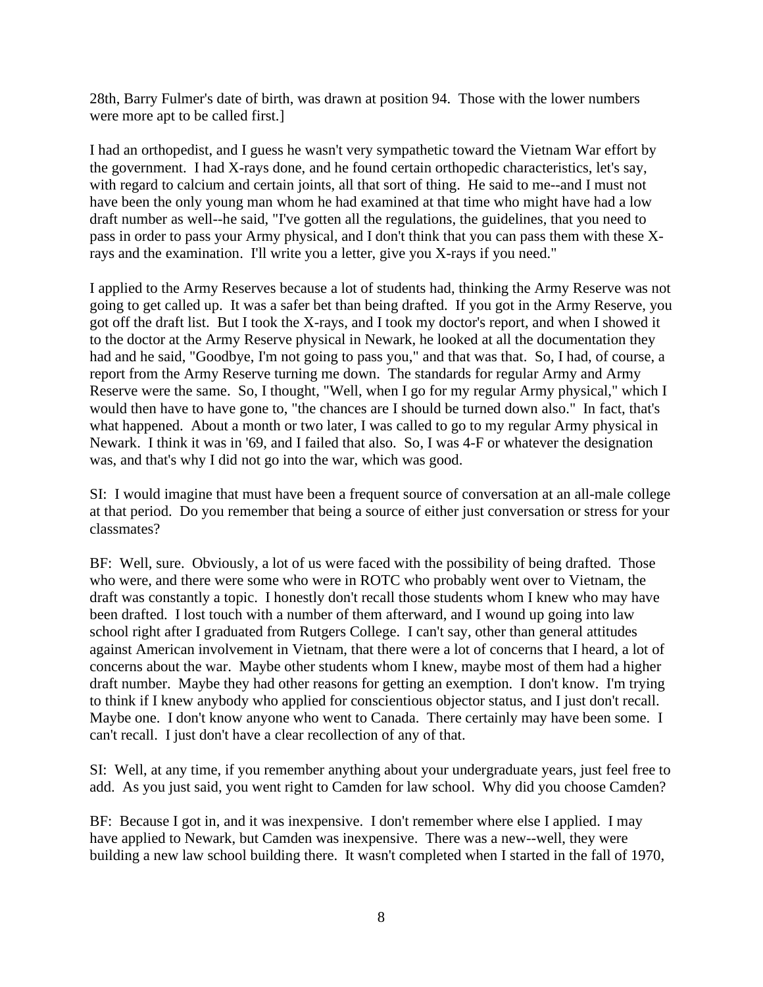28th, Barry Fulmer's date of birth, was drawn at position 94. Those with the lower numbers were more apt to be called first.]

I had an orthopedist, and I guess he wasn't very sympathetic toward the Vietnam War effort by the government. I had X-rays done, and he found certain orthopedic characteristics, let's say, with regard to calcium and certain joints, all that sort of thing. He said to me--and I must not have been the only young man whom he had examined at that time who might have had a low draft number as well--he said, "I've gotten all the regulations, the guidelines, that you need to pass in order to pass your Army physical, and I don't think that you can pass them with these Xrays and the examination. I'll write you a letter, give you X-rays if you need."

I applied to the Army Reserves because a lot of students had, thinking the Army Reserve was not going to get called up. It was a safer bet than being drafted. If you got in the Army Reserve, you got off the draft list. But I took the X-rays, and I took my doctor's report, and when I showed it to the doctor at the Army Reserve physical in Newark, he looked at all the documentation they had and he said, "Goodbye, I'm not going to pass you," and that was that. So, I had, of course, a report from the Army Reserve turning me down. The standards for regular Army and Army Reserve were the same. So, I thought, "Well, when I go for my regular Army physical," which I would then have to have gone to, "the chances are I should be turned down also." In fact, that's what happened. About a month or two later, I was called to go to my regular Army physical in Newark. I think it was in '69, and I failed that also. So, I was 4-F or whatever the designation was, and that's why I did not go into the war, which was good.

SI: I would imagine that must have been a frequent source of conversation at an all-male college at that period. Do you remember that being a source of either just conversation or stress for your classmates?

BF: Well, sure. Obviously, a lot of us were faced with the possibility of being drafted. Those who were, and there were some who were in ROTC who probably went over to Vietnam, the draft was constantly a topic. I honestly don't recall those students whom I knew who may have been drafted. I lost touch with a number of them afterward, and I wound up going into law school right after I graduated from Rutgers College. I can't say, other than general attitudes against American involvement in Vietnam, that there were a lot of concerns that I heard, a lot of concerns about the war. Maybe other students whom I knew, maybe most of them had a higher draft number. Maybe they had other reasons for getting an exemption. I don't know. I'm trying to think if I knew anybody who applied for conscientious objector status, and I just don't recall. Maybe one. I don't know anyone who went to Canada. There certainly may have been some. I can't recall. I just don't have a clear recollection of any of that.

SI: Well, at any time, if you remember anything about your undergraduate years, just feel free to add. As you just said, you went right to Camden for law school. Why did you choose Camden?

BF: Because I got in, and it was inexpensive. I don't remember where else I applied. I may have applied to Newark, but Camden was inexpensive. There was a new--well, they were building a new law school building there. It wasn't completed when I started in the fall of 1970,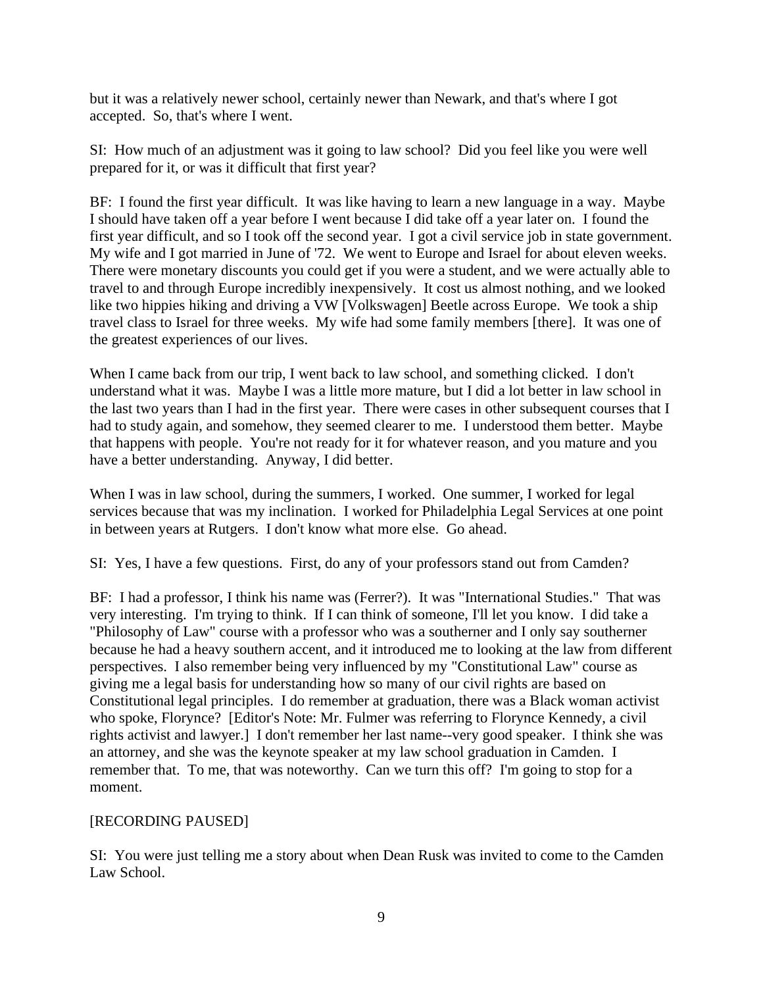but it was a relatively newer school, certainly newer than Newark, and that's where I got accepted. So, that's where I went.

SI: How much of an adjustment was it going to law school? Did you feel like you were well prepared for it, or was it difficult that first year?

BF: I found the first year difficult. It was like having to learn a new language in a way. Maybe I should have taken off a year before I went because I did take off a year later on. I found the first year difficult, and so I took off the second year. I got a civil service job in state government. My wife and I got married in June of '72. We went to Europe and Israel for about eleven weeks. There were monetary discounts you could get if you were a student, and we were actually able to travel to and through Europe incredibly inexpensively. It cost us almost nothing, and we looked like two hippies hiking and driving a VW [Volkswagen] Beetle across Europe. We took a ship travel class to Israel for three weeks. My wife had some family members [there]. It was one of the greatest experiences of our lives.

When I came back from our trip, I went back to law school, and something clicked. I don't understand what it was. Maybe I was a little more mature, but I did a lot better in law school in the last two years than I had in the first year. There were cases in other subsequent courses that I had to study again, and somehow, they seemed clearer to me. I understood them better. Maybe that happens with people. You're not ready for it for whatever reason, and you mature and you have a better understanding. Anyway, I did better.

When I was in law school, during the summers, I worked. One summer, I worked for legal services because that was my inclination. I worked for Philadelphia Legal Services at one point in between years at Rutgers. I don't know what more else. Go ahead.

SI: Yes, I have a few questions. First, do any of your professors stand out from Camden?

BF: I had a professor, I think his name was (Ferrer?). It was "International Studies." That was very interesting. I'm trying to think. If I can think of someone, I'll let you know. I did take a "Philosophy of Law" course with a professor who was a southerner and I only say southerner because he had a heavy southern accent, and it introduced me to looking at the law from different perspectives. I also remember being very influenced by my "Constitutional Law" course as giving me a legal basis for understanding how so many of our civil rights are based on Constitutional legal principles. I do remember at graduation, there was a Black woman activist who spoke, Florynce? [Editor's Note: Mr. Fulmer was referring to Florynce Kennedy, a civil rights activist and lawyer.] I don't remember her last name--very good speaker. I think she was an attorney, and she was the keynote speaker at my law school graduation in Camden. I remember that. To me, that was noteworthy. Can we turn this off? I'm going to stop for a moment.

### [RECORDING PAUSED]

SI: You were just telling me a story about when Dean Rusk was invited to come to the Camden Law School.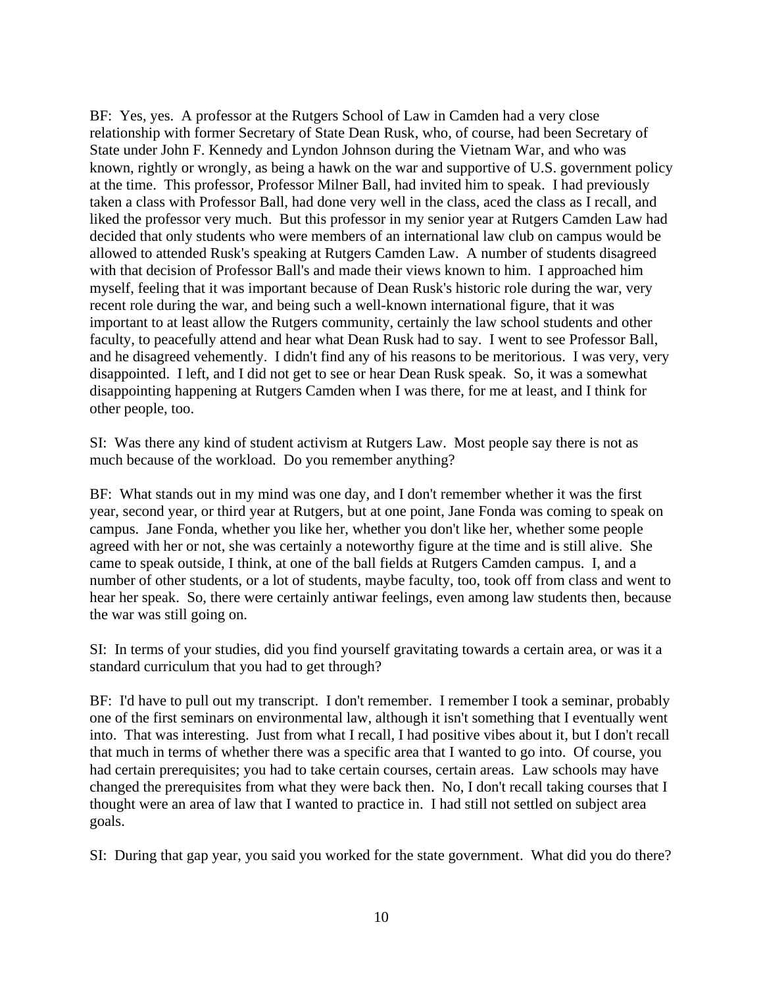BF: Yes, yes. A professor at the Rutgers School of Law in Camden had a very close relationship with former Secretary of State Dean Rusk, who, of course, had been Secretary of State under John F. Kennedy and Lyndon Johnson during the Vietnam War, and who was known, rightly or wrongly, as being a hawk on the war and supportive of U.S. government policy at the time. This professor, Professor Milner Ball, had invited him to speak. I had previously taken a class with Professor Ball, had done very well in the class, aced the class as I recall, and liked the professor very much. But this professor in my senior year at Rutgers Camden Law had decided that only students who were members of an international law club on campus would be allowed to attended Rusk's speaking at Rutgers Camden Law. A number of students disagreed with that decision of Professor Ball's and made their views known to him. I approached him myself, feeling that it was important because of Dean Rusk's historic role during the war, very recent role during the war, and being such a well-known international figure, that it was important to at least allow the Rutgers community, certainly the law school students and other faculty, to peacefully attend and hear what Dean Rusk had to say. I went to see Professor Ball, and he disagreed vehemently. I didn't find any of his reasons to be meritorious. I was very, very disappointed. I left, and I did not get to see or hear Dean Rusk speak. So, it was a somewhat disappointing happening at Rutgers Camden when I was there, for me at least, and I think for other people, too.

SI: Was there any kind of student activism at Rutgers Law. Most people say there is not as much because of the workload. Do you remember anything?

BF: What stands out in my mind was one day, and I don't remember whether it was the first year, second year, or third year at Rutgers, but at one point, Jane Fonda was coming to speak on campus. Jane Fonda, whether you like her, whether you don't like her, whether some people agreed with her or not, she was certainly a noteworthy figure at the time and is still alive. She came to speak outside, I think, at one of the ball fields at Rutgers Camden campus. I, and a number of other students, or a lot of students, maybe faculty, too, took off from class and went to hear her speak. So, there were certainly antiwar feelings, even among law students then, because the war was still going on.

SI: In terms of your studies, did you find yourself gravitating towards a certain area, or was it a standard curriculum that you had to get through?

BF: I'd have to pull out my transcript. I don't remember. I remember I took a seminar, probably one of the first seminars on environmental law, although it isn't something that I eventually went into. That was interesting. Just from what I recall, I had positive vibes about it, but I don't recall that much in terms of whether there was a specific area that I wanted to go into. Of course, you had certain prerequisites; you had to take certain courses, certain areas. Law schools may have changed the prerequisites from what they were back then. No, I don't recall taking courses that I thought were an area of law that I wanted to practice in. I had still not settled on subject area goals.

SI: During that gap year, you said you worked for the state government. What did you do there?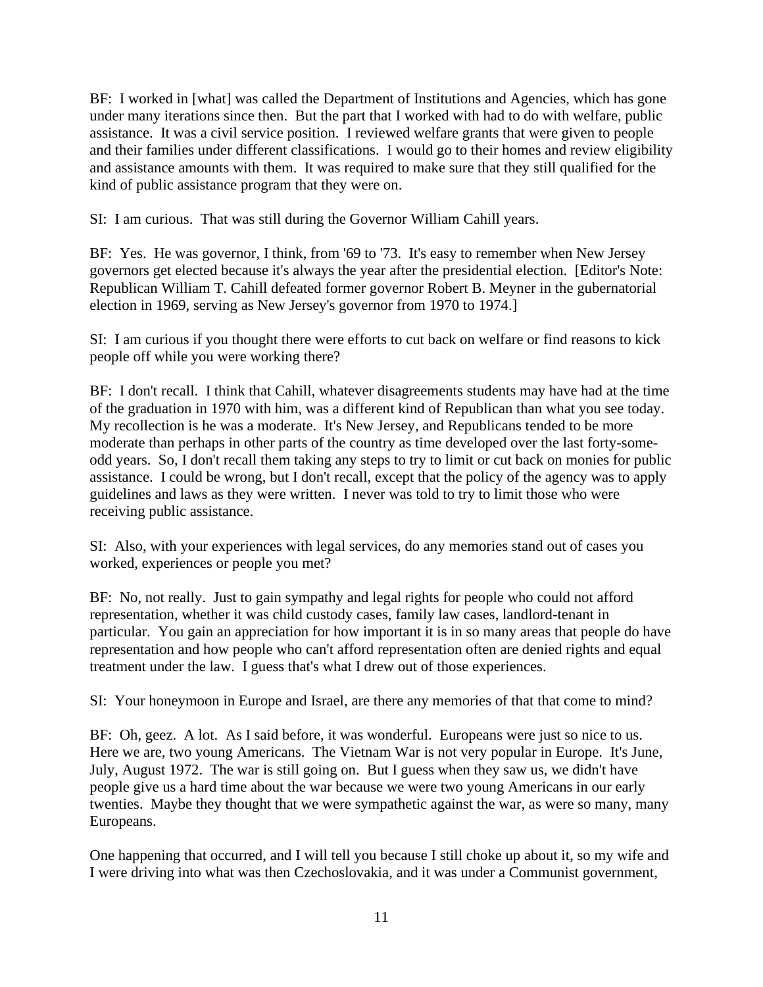BF: I worked in [what] was called the Department of Institutions and Agencies, which has gone under many iterations since then. But the part that I worked with had to do with welfare, public assistance. It was a civil service position. I reviewed welfare grants that were given to people and their families under different classifications. I would go to their homes and review eligibility and assistance amounts with them. It was required to make sure that they still qualified for the kind of public assistance program that they were on.

SI: I am curious. That was still during the Governor William Cahill years.

BF: Yes. He was governor, I think, from '69 to '73. It's easy to remember when New Jersey governors get elected because it's always the year after the presidential election. [Editor's Note: Republican William T. Cahill defeated former governor Robert B. Meyner in the gubernatorial election in 1969, serving as New Jersey's governor from 1970 to 1974.]

SI: I am curious if you thought there were efforts to cut back on welfare or find reasons to kick people off while you were working there?

BF: I don't recall. I think that Cahill, whatever disagreements students may have had at the time of the graduation in 1970 with him, was a different kind of Republican than what you see today. My recollection is he was a moderate. It's New Jersey, and Republicans tended to be more moderate than perhaps in other parts of the country as time developed over the last forty-someodd years. So, I don't recall them taking any steps to try to limit or cut back on monies for public assistance. I could be wrong, but I don't recall, except that the policy of the agency was to apply guidelines and laws as they were written. I never was told to try to limit those who were receiving public assistance.

SI: Also, with your experiences with legal services, do any memories stand out of cases you worked, experiences or people you met?

BF: No, not really. Just to gain sympathy and legal rights for people who could not afford representation, whether it was child custody cases, family law cases, landlord-tenant in particular. You gain an appreciation for how important it is in so many areas that people do have representation and how people who can't afford representation often are denied rights and equal treatment under the law. I guess that's what I drew out of those experiences.

SI: Your honeymoon in Europe and Israel, are there any memories of that that come to mind?

BF: Oh, geez. A lot. As I said before, it was wonderful. Europeans were just so nice to us. Here we are, two young Americans. The Vietnam War is not very popular in Europe. It's June, July, August 1972. The war is still going on. But I guess when they saw us, we didn't have people give us a hard time about the war because we were two young Americans in our early twenties. Maybe they thought that we were sympathetic against the war, as were so many, many Europeans.

One happening that occurred, and I will tell you because I still choke up about it, so my wife and I were driving into what was then Czechoslovakia, and it was under a Communist government,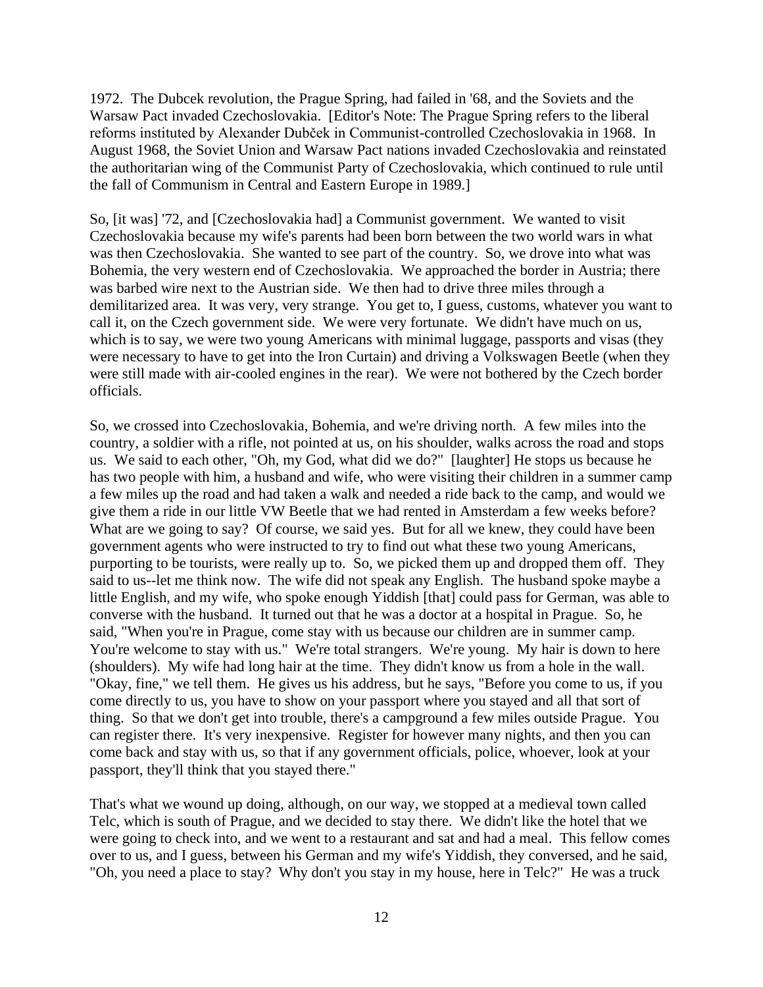1972. The Dubcek revolution, the Prague Spring, had failed in '68, and the Soviets and the Warsaw Pact invaded Czechoslovakia. [Editor's Note: The Prague Spring refers to the liberal reforms instituted by Alexander Dubček in Communist-controlled Czechoslovakia in 1968. In August 1968, the Soviet Union and Warsaw Pact nations invaded Czechoslovakia and reinstated the authoritarian wing of the Communist Party of Czechoslovakia, which continued to rule until the fall of Communism in Central and Eastern Europe in 1989.]

So, [it was] '72, and [Czechoslovakia had] a Communist government. We wanted to visit Czechoslovakia because my wife's parents had been born between the two world wars in what was then Czechoslovakia. She wanted to see part of the country. So, we drove into what was Bohemia, the very western end of Czechoslovakia. We approached the border in Austria; there was barbed wire next to the Austrian side. We then had to drive three miles through a demilitarized area. It was very, very strange. You get to, I guess, customs, whatever you want to call it, on the Czech government side. We were very fortunate. We didn't have much on us, which is to say, we were two young Americans with minimal luggage, passports and visas (they were necessary to have to get into the Iron Curtain) and driving a Volkswagen Beetle (when they were still made with air-cooled engines in the rear). We were not bothered by the Czech border officials.

So, we crossed into Czechoslovakia, Bohemia, and we're driving north. A few miles into the country, a soldier with a rifle, not pointed at us, on his shoulder, walks across the road and stops us. We said to each other, "Oh, my God, what did we do?" [laughter] He stops us because he has two people with him, a husband and wife, who were visiting their children in a summer camp a few miles up the road and had taken a walk and needed a ride back to the camp, and would we give them a ride in our little VW Beetle that we had rented in Amsterdam a few weeks before? What are we going to say? Of course, we said yes. But for all we knew, they could have been government agents who were instructed to try to find out what these two young Americans, purporting to be tourists, were really up to. So, we picked them up and dropped them off. They said to us--let me think now. The wife did not speak any English. The husband spoke maybe a little English, and my wife, who spoke enough Yiddish [that] could pass for German, was able to converse with the husband. It turned out that he was a doctor at a hospital in Prague. So, he said, "When you're in Prague, come stay with us because our children are in summer camp. You're welcome to stay with us." We're total strangers. We're young. My hair is down to here (shoulders). My wife had long hair at the time. They didn't know us from a hole in the wall. "Okay, fine," we tell them. He gives us his address, but he says, "Before you come to us, if you come directly to us, you have to show on your passport where you stayed and all that sort of thing. So that we don't get into trouble, there's a campground a few miles outside Prague. You can register there. It's very inexpensive. Register for however many nights, and then you can come back and stay with us, so that if any government officials, police, whoever, look at your passport, they'll think that you stayed there."

That's what we wound up doing, although, on our way, we stopped at a medieval town called Telc, which is south of Prague, and we decided to stay there. We didn't like the hotel that we were going to check into, and we went to a restaurant and sat and had a meal. This fellow comes over to us, and I guess, between his German and my wife's Yiddish, they conversed, and he said, "Oh, you need a place to stay? Why don't you stay in my house, here in Telc?" He was a truck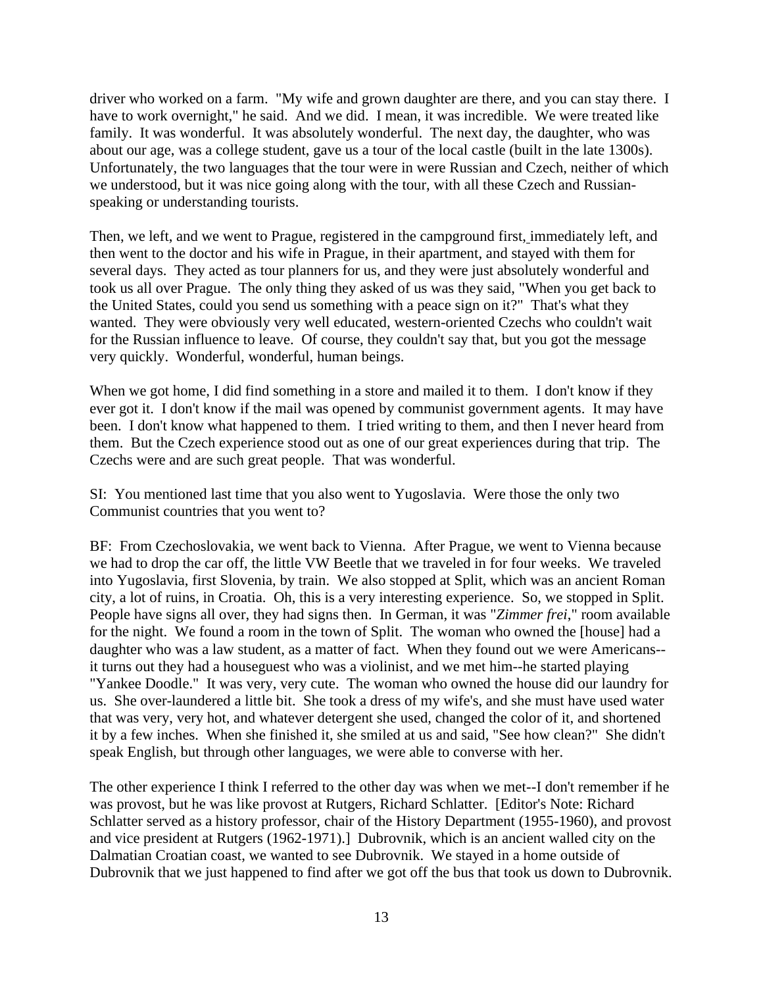driver who worked on a farm. "My wife and grown daughter are there, and you can stay there. I have to work overnight," he said. And we did. I mean, it was incredible. We were treated like family. It was wonderful. It was absolutely wonderful. The next day, the daughter, who was about our age, was a college student, gave us a tour of the local castle (built in the late 1300s). Unfortunately, the two languages that the tour were in were Russian and Czech, neither of which we understood, but it was nice going along with the tour, with all these Czech and Russianspeaking or understanding tourists.

Then, we left, and we went to Prague, registered in the campground first, immediately left, and then went to the doctor and his wife in Prague, in their apartment, and stayed with them for several days. They acted as tour planners for us, and they were just absolutely wonderful and took us all over Prague. The only thing they asked of us was they said, "When you get back to the United States, could you send us something with a peace sign on it?" That's what they wanted. They were obviously very well educated, western-oriented Czechs who couldn't wait for the Russian influence to leave. Of course, they couldn't say that, but you got the message very quickly. Wonderful, wonderful, human beings.

When we got home, I did find something in a store and mailed it to them. I don't know if they ever got it. I don't know if the mail was opened by communist government agents. It may have been. I don't know what happened to them. I tried writing to them, and then I never heard from them. But the Czech experience stood out as one of our great experiences during that trip. The Czechs were and are such great people. That was wonderful.

SI: You mentioned last time that you also went to Yugoslavia. Were those the only two Communist countries that you went to?

BF: From Czechoslovakia, we went back to Vienna. After Prague, we went to Vienna because we had to drop the car off, the little VW Beetle that we traveled in for four weeks. We traveled into Yugoslavia, first Slovenia, by train. We also stopped at Split, which was an ancient Roman city, a lot of ruins, in Croatia. Oh, this is a very interesting experience. So, we stopped in Split. People have signs all over, they had signs then. In German, it was "*Zimmer frei*," room available for the night. We found a room in the town of Split. The woman who owned the [house] had a daughter who was a law student, as a matter of fact. When they found out we were Americans- it turns out they had a houseguest who was a violinist, and we met him--he started playing "Yankee Doodle." It was very, very cute. The woman who owned the house did our laundry for us. She over-laundered a little bit. She took a dress of my wife's, and she must have used water that was very, very hot, and whatever detergent she used, changed the color of it, and shortened it by a few inches. When she finished it, she smiled at us and said, "See how clean?" She didn't speak English, but through other languages, we were able to converse with her.

The other experience I think I referred to the other day was when we met--I don't remember if he was provost, but he was like provost at Rutgers, Richard Schlatter. [Editor's Note: Richard Schlatter served as a history professor, chair of the History Department (1955-1960), and provost and vice president at Rutgers (1962-1971).] Dubrovnik, which is an ancient walled city on the Dalmatian Croatian coast, we wanted to see Dubrovnik. We stayed in a home outside of Dubrovnik that we just happened to find after we got off the bus that took us down to Dubrovnik.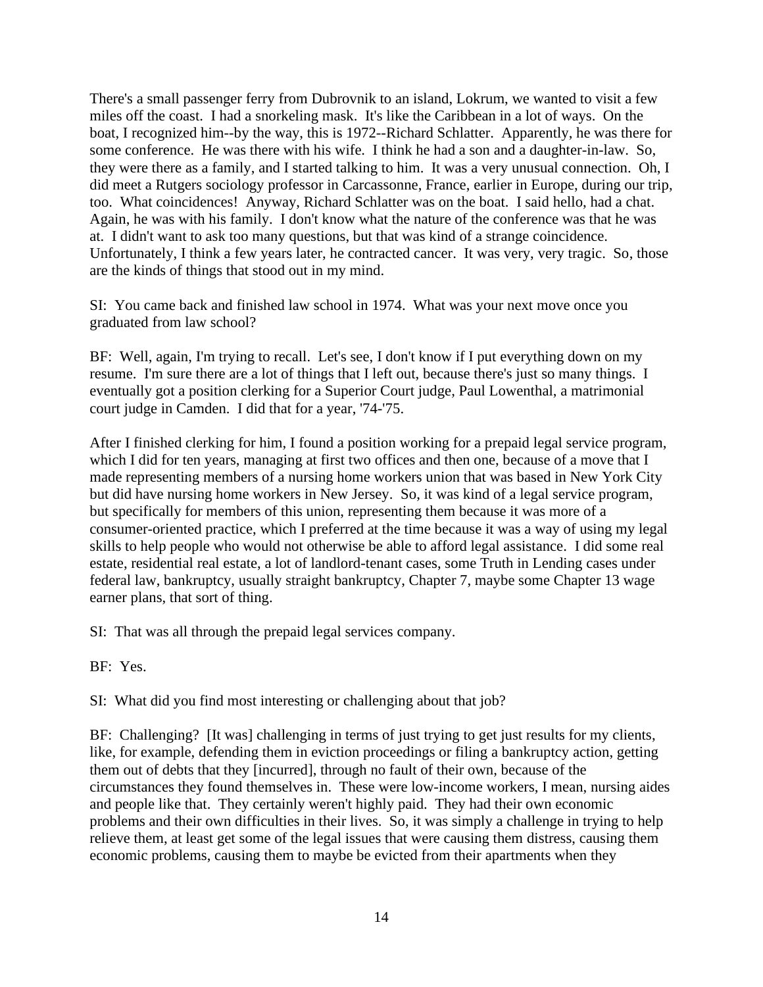There's a small passenger ferry from Dubrovnik to an island, Lokrum, we wanted to visit a few miles off the coast. I had a snorkeling mask. It's like the Caribbean in a lot of ways. On the boat, I recognized him--by the way, this is 1972--Richard Schlatter. Apparently, he was there for some conference. He was there with his wife. I think he had a son and a daughter-in-law. So, they were there as a family, and I started talking to him. It was a very unusual connection. Oh, I did meet a Rutgers sociology professor in Carcassonne, France, earlier in Europe, during our trip, too. What coincidences! Anyway, Richard Schlatter was on the boat. I said hello, had a chat. Again, he was with his family. I don't know what the nature of the conference was that he was at. I didn't want to ask too many questions, but that was kind of a strange coincidence. Unfortunately, I think a few years later, he contracted cancer. It was very, very tragic. So, those are the kinds of things that stood out in my mind.

SI: You came back and finished law school in 1974. What was your next move once you graduated from law school?

BF: Well, again, I'm trying to recall. Let's see, I don't know if I put everything down on my resume. I'm sure there are a lot of things that I left out, because there's just so many things. I eventually got a position clerking for a Superior Court judge, Paul Lowenthal, a matrimonial court judge in Camden. I did that for a year, '74-'75.

After I finished clerking for him, I found a position working for a prepaid legal service program, which I did for ten years, managing at first two offices and then one, because of a move that I made representing members of a nursing home workers union that was based in New York City but did have nursing home workers in New Jersey. So, it was kind of a legal service program, but specifically for members of this union, representing them because it was more of a consumer-oriented practice, which I preferred at the time because it was a way of using my legal skills to help people who would not otherwise be able to afford legal assistance. I did some real estate, residential real estate, a lot of landlord-tenant cases, some Truth in Lending cases under federal law, bankruptcy, usually straight bankruptcy, Chapter 7, maybe some Chapter 13 wage earner plans, that sort of thing.

SI: That was all through the prepaid legal services company.

BF: Yes.

SI: What did you find most interesting or challenging about that job?

BF: Challenging? [It was] challenging in terms of just trying to get just results for my clients, like, for example, defending them in eviction proceedings or filing a bankruptcy action, getting them out of debts that they [incurred], through no fault of their own, because of the circumstances they found themselves in. These were low-income workers, I mean, nursing aides and people like that. They certainly weren't highly paid. They had their own economic problems and their own difficulties in their lives. So, it was simply a challenge in trying to help relieve them, at least get some of the legal issues that were causing them distress, causing them economic problems, causing them to maybe be evicted from their apartments when they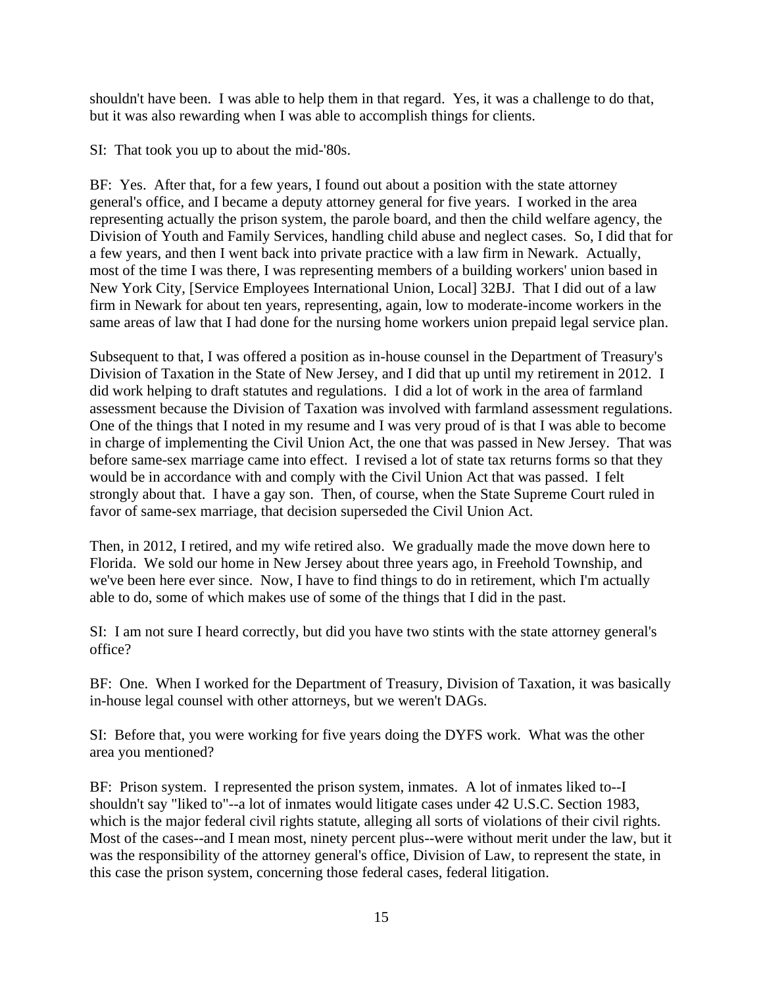shouldn't have been. I was able to help them in that regard. Yes, it was a challenge to do that, but it was also rewarding when I was able to accomplish things for clients.

SI: That took you up to about the mid-'80s.

BF: Yes. After that, for a few years, I found out about a position with the state attorney general's office, and I became a deputy attorney general for five years. I worked in the area representing actually the prison system, the parole board, and then the child welfare agency, the Division of Youth and Family Services, handling child abuse and neglect cases. So, I did that for a few years, and then I went back into private practice with a law firm in Newark. Actually, most of the time I was there, I was representing members of a building workers' union based in New York City, [Service Employees International Union, Local] 32BJ. That I did out of a law firm in Newark for about ten years, representing, again, low to moderate-income workers in the same areas of law that I had done for the nursing home workers union prepaid legal service plan.

Subsequent to that, I was offered a position as in-house counsel in the Department of Treasury's Division of Taxation in the State of New Jersey, and I did that up until my retirement in 2012. I did work helping to draft statutes and regulations. I did a lot of work in the area of farmland assessment because the Division of Taxation was involved with farmland assessment regulations. One of the things that I noted in my resume and I was very proud of is that I was able to become in charge of implementing the Civil Union Act, the one that was passed in New Jersey. That was before same-sex marriage came into effect. I revised a lot of state tax returns forms so that they would be in accordance with and comply with the Civil Union Act that was passed. I felt strongly about that. I have a gay son. Then, of course, when the State Supreme Court ruled in favor of same-sex marriage, that decision superseded the Civil Union Act.

Then, in 2012, I retired, and my wife retired also. We gradually made the move down here to Florida. We sold our home in New Jersey about three years ago, in Freehold Township, and we've been here ever since. Now, I have to find things to do in retirement, which I'm actually able to do, some of which makes use of some of the things that I did in the past.

SI: I am not sure I heard correctly, but did you have two stints with the state attorney general's office?

BF: One. When I worked for the Department of Treasury, Division of Taxation, it was basically in-house legal counsel with other attorneys, but we weren't DAGs.

SI: Before that, you were working for five years doing the DYFS work. What was the other area you mentioned?

BF: Prison system. I represented the prison system, inmates. A lot of inmates liked to--I shouldn't say "liked to"--a lot of inmates would litigate cases under 42 U.S.C. Section 1983, which is the major federal civil rights statute, alleging all sorts of violations of their civil rights. Most of the cases--and I mean most, ninety percent plus--were without merit under the law, but it was the responsibility of the attorney general's office, Division of Law, to represent the state, in this case the prison system, concerning those federal cases, federal litigation.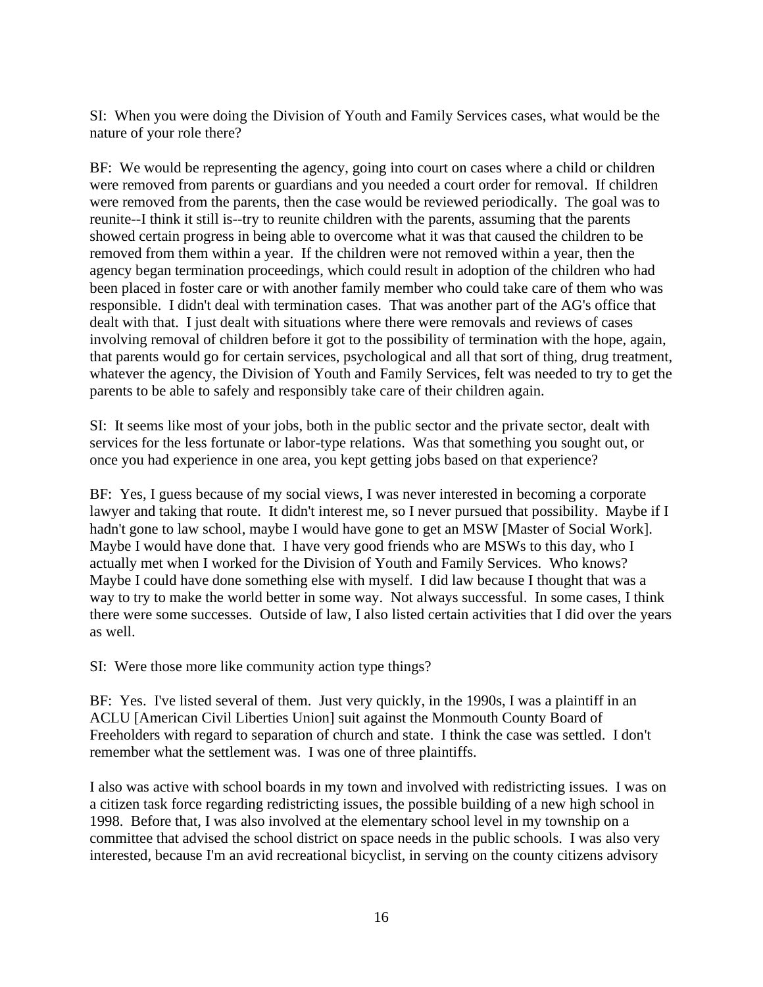SI: When you were doing the Division of Youth and Family Services cases, what would be the nature of your role there?

BF: We would be representing the agency, going into court on cases where a child or children were removed from parents or guardians and you needed a court order for removal. If children were removed from the parents, then the case would be reviewed periodically. The goal was to reunite--I think it still is--try to reunite children with the parents, assuming that the parents showed certain progress in being able to overcome what it was that caused the children to be removed from them within a year. If the children were not removed within a year, then the agency began termination proceedings, which could result in adoption of the children who had been placed in foster care or with another family member who could take care of them who was responsible. I didn't deal with termination cases. That was another part of the AG's office that dealt with that. I just dealt with situations where there were removals and reviews of cases involving removal of children before it got to the possibility of termination with the hope, again, that parents would go for certain services, psychological and all that sort of thing, drug treatment, whatever the agency, the Division of Youth and Family Services, felt was needed to try to get the parents to be able to safely and responsibly take care of their children again.

SI: It seems like most of your jobs, both in the public sector and the private sector, dealt with services for the less fortunate or labor-type relations. Was that something you sought out, or once you had experience in one area, you kept getting jobs based on that experience?

BF: Yes, I guess because of my social views, I was never interested in becoming a corporate lawyer and taking that route. It didn't interest me, so I never pursued that possibility. Maybe if I hadn't gone to law school, maybe I would have gone to get an MSW [Master of Social Work]. Maybe I would have done that. I have very good friends who are MSWs to this day, who I actually met when I worked for the Division of Youth and Family Services. Who knows? Maybe I could have done something else with myself. I did law because I thought that was a way to try to make the world better in some way. Not always successful. In some cases, I think there were some successes. Outside of law, I also listed certain activities that I did over the years as well.

SI: Were those more like community action type things?

BF: Yes. I've listed several of them. Just very quickly, in the 1990s, I was a plaintiff in an ACLU [American Civil Liberties Union] suit against the Monmouth County Board of Freeholders with regard to separation of church and state. I think the case was settled. I don't remember what the settlement was. I was one of three plaintiffs.

I also was active with school boards in my town and involved with redistricting issues. I was on a citizen task force regarding redistricting issues, the possible building of a new high school in 1998. Before that, I was also involved at the elementary school level in my township on a committee that advised the school district on space needs in the public schools. I was also very interested, because I'm an avid recreational bicyclist, in serving on the county citizens advisory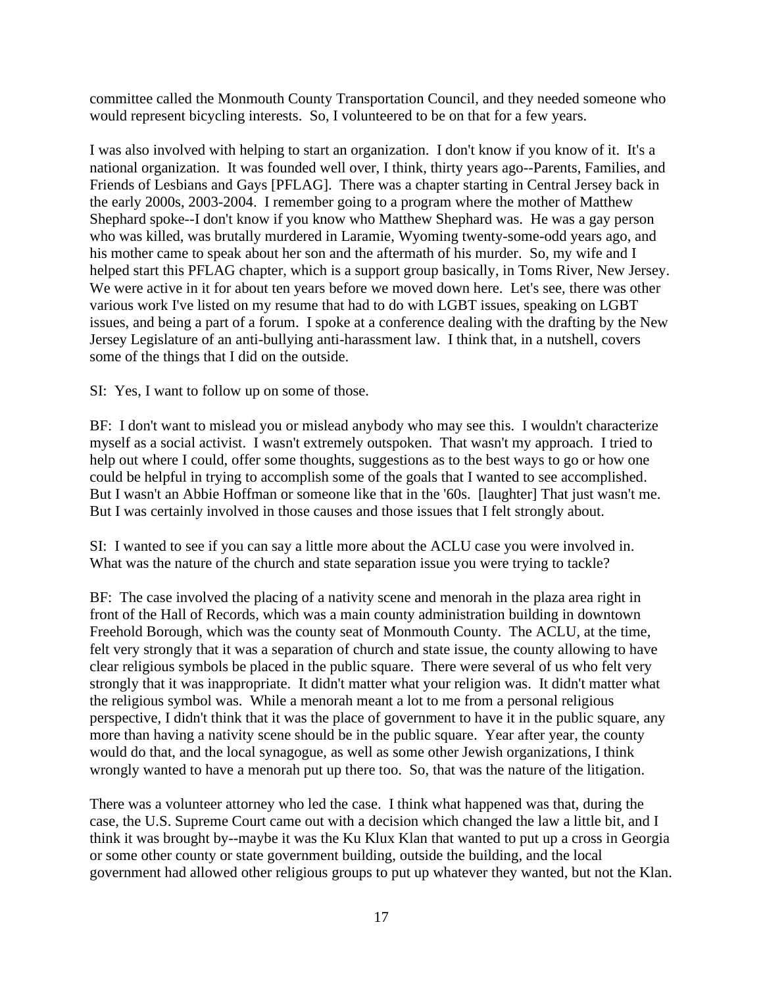committee called the Monmouth County Transportation Council, and they needed someone who would represent bicycling interests. So, I volunteered to be on that for a few years.

I was also involved with helping to start an organization. I don't know if you know of it. It's a national organization. It was founded well over, I think, thirty years ago--Parents, Families, and Friends of Lesbians and Gays [PFLAG]. There was a chapter starting in Central Jersey back in the early 2000s, 2003-2004. I remember going to a program where the mother of Matthew Shephard spoke--I don't know if you know who Matthew Shephard was. He was a gay person who was killed, was brutally murdered in Laramie, Wyoming twenty-some-odd years ago, and his mother came to speak about her son and the aftermath of his murder. So, my wife and I helped start this PFLAG chapter, which is a support group basically, in Toms River, New Jersey. We were active in it for about ten years before we moved down here. Let's see, there was other various work I've listed on my resume that had to do with LGBT issues, speaking on LGBT issues, and being a part of a forum. I spoke at a conference dealing with the drafting by the New Jersey Legislature of an anti-bullying anti-harassment law. I think that, in a nutshell, covers some of the things that I did on the outside.

SI: Yes, I want to follow up on some of those.

BF: I don't want to mislead you or mislead anybody who may see this. I wouldn't characterize myself as a social activist. I wasn't extremely outspoken. That wasn't my approach. I tried to help out where I could, offer some thoughts, suggestions as to the best ways to go or how one could be helpful in trying to accomplish some of the goals that I wanted to see accomplished. But I wasn't an Abbie Hoffman or someone like that in the '60s. [laughter] That just wasn't me. But I was certainly involved in those causes and those issues that I felt strongly about.

SI: I wanted to see if you can say a little more about the ACLU case you were involved in. What was the nature of the church and state separation issue you were trying to tackle?

BF: The case involved the placing of a nativity scene and menorah in the plaza area right in front of the Hall of Records, which was a main county administration building in downtown Freehold Borough, which was the county seat of Monmouth County. The ACLU, at the time, felt very strongly that it was a separation of church and state issue, the county allowing to have clear religious symbols be placed in the public square. There were several of us who felt very strongly that it was inappropriate. It didn't matter what your religion was. It didn't matter what the religious symbol was. While a menorah meant a lot to me from a personal religious perspective, I didn't think that it was the place of government to have it in the public square, any more than having a nativity scene should be in the public square. Year after year, the county would do that, and the local synagogue, as well as some other Jewish organizations, I think wrongly wanted to have a menorah put up there too. So, that was the nature of the litigation.

There was a volunteer attorney who led the case. I think what happened was that, during the case, the U.S. Supreme Court came out with a decision which changed the law a little bit, and I think it was brought by--maybe it was the Ku Klux Klan that wanted to put up a cross in Georgia or some other county or state government building, outside the building, and the local government had allowed other religious groups to put up whatever they wanted, but not the Klan.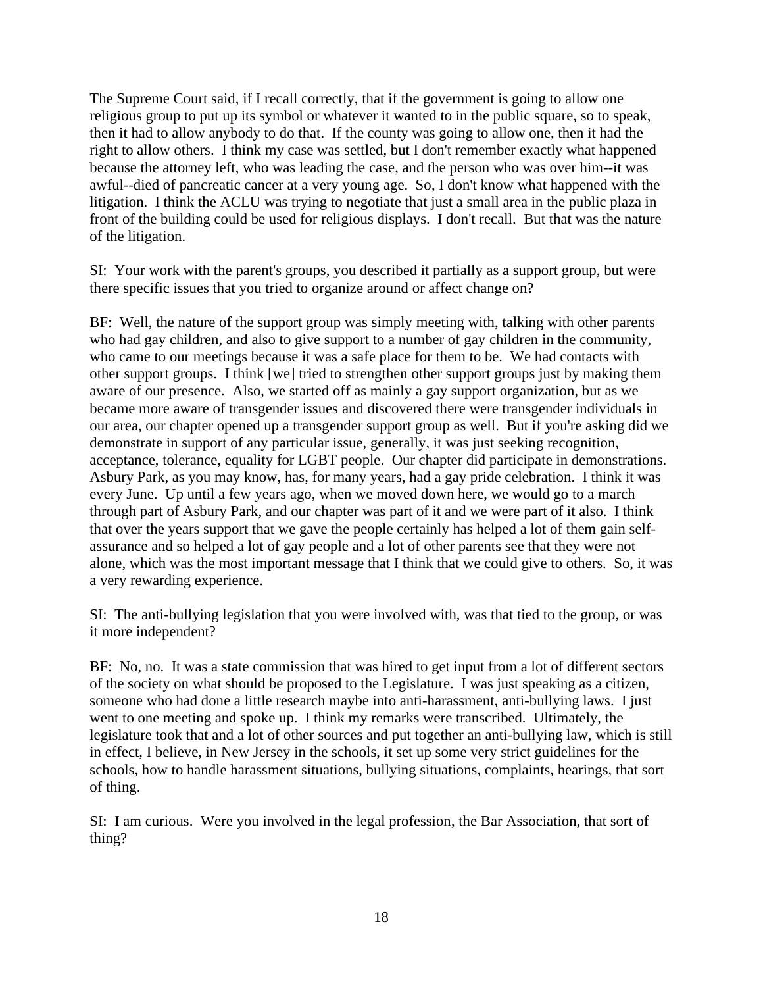The Supreme Court said, if I recall correctly, that if the government is going to allow one religious group to put up its symbol or whatever it wanted to in the public square, so to speak, then it had to allow anybody to do that. If the county was going to allow one, then it had the right to allow others. I think my case was settled, but I don't remember exactly what happened because the attorney left, who was leading the case, and the person who was over him--it was awful--died of pancreatic cancer at a very young age. So, I don't know what happened with the litigation. I think the ACLU was trying to negotiate that just a small area in the public plaza in front of the building could be used for religious displays. I don't recall. But that was the nature of the litigation.

SI: Your work with the parent's groups, you described it partially as a support group, but were there specific issues that you tried to organize around or affect change on?

BF: Well, the nature of the support group was simply meeting with, talking with other parents who had gay children, and also to give support to a number of gay children in the community, who came to our meetings because it was a safe place for them to be. We had contacts with other support groups. I think [we] tried to strengthen other support groups just by making them aware of our presence. Also, we started off as mainly a gay support organization, but as we became more aware of transgender issues and discovered there were transgender individuals in our area, our chapter opened up a transgender support group as well. But if you're asking did we demonstrate in support of any particular issue, generally, it was just seeking recognition, acceptance, tolerance, equality for LGBT people. Our chapter did participate in demonstrations. Asbury Park, as you may know, has, for many years, had a gay pride celebration. I think it was every June. Up until a few years ago, when we moved down here, we would go to a march through part of Asbury Park, and our chapter was part of it and we were part of it also. I think that over the years support that we gave the people certainly has helped a lot of them gain selfassurance and so helped a lot of gay people and a lot of other parents see that they were not alone, which was the most important message that I think that we could give to others. So, it was a very rewarding experience.

SI: The anti-bullying legislation that you were involved with, was that tied to the group, or was it more independent?

BF: No, no. It was a state commission that was hired to get input from a lot of different sectors of the society on what should be proposed to the Legislature. I was just speaking as a citizen, someone who had done a little research maybe into anti-harassment, anti-bullying laws. I just went to one meeting and spoke up. I think my remarks were transcribed. Ultimately, the legislature took that and a lot of other sources and put together an anti-bullying law, which is still in effect, I believe, in New Jersey in the schools, it set up some very strict guidelines for the schools, how to handle harassment situations, bullying situations, complaints, hearings, that sort of thing.

SI: I am curious. Were you involved in the legal profession, the Bar Association, that sort of thing?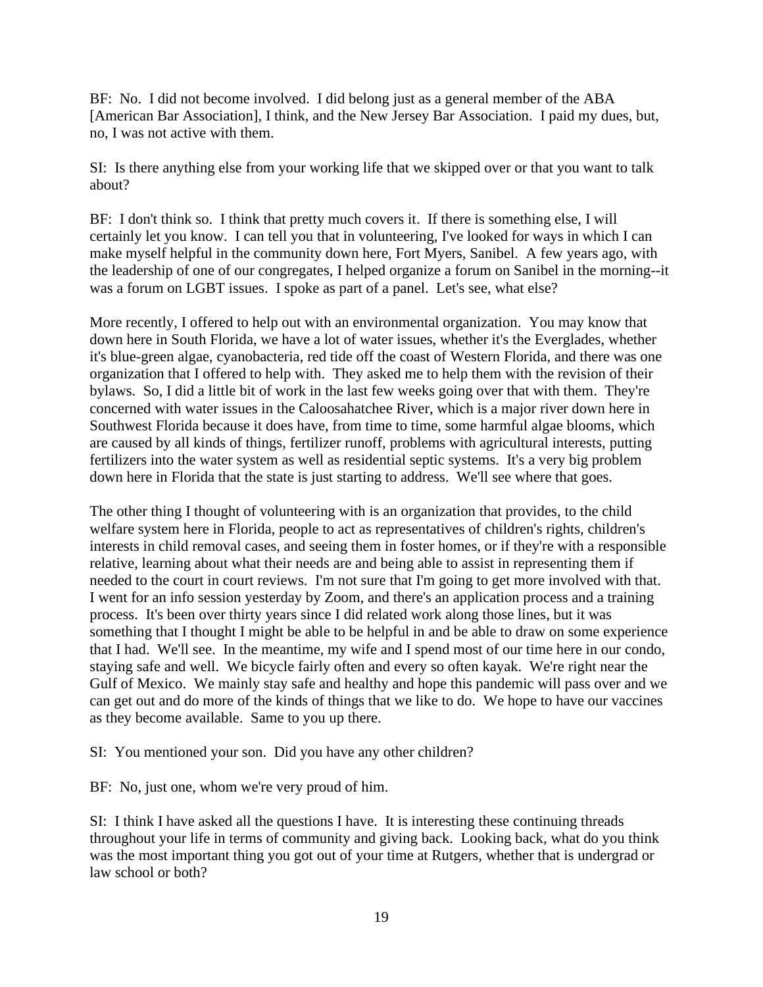BF: No. I did not become involved. I did belong just as a general member of the ABA [American Bar Association], I think, and the New Jersey Bar Association. I paid my dues, but, no, I was not active with them.

SI: Is there anything else from your working life that we skipped over or that you want to talk about?

BF: I don't think so. I think that pretty much covers it. If there is something else, I will certainly let you know. I can tell you that in volunteering, I've looked for ways in which I can make myself helpful in the community down here, Fort Myers, Sanibel. A few years ago, with the leadership of one of our congregates, I helped organize a forum on Sanibel in the morning--it was a forum on LGBT issues. I spoke as part of a panel. Let's see, what else?

More recently, I offered to help out with an environmental organization. You may know that down here in South Florida, we have a lot of water issues, whether it's the Everglades, whether it's blue-green algae, cyanobacteria, red tide off the coast of Western Florida, and there was one organization that I offered to help with. They asked me to help them with the revision of their bylaws. So, I did a little bit of work in the last few weeks going over that with them. They're concerned with water issues in the Caloosahatchee River, which is a major river down here in Southwest Florida because it does have, from time to time, some harmful algae blooms, which are caused by all kinds of things, fertilizer runoff, problems with agricultural interests, putting fertilizers into the water system as well as residential septic systems. It's a very big problem down here in Florida that the state is just starting to address. We'll see where that goes.

The other thing I thought of volunteering with is an organization that provides, to the child welfare system here in Florida, people to act as representatives of children's rights, children's interests in child removal cases, and seeing them in foster homes, or if they're with a responsible relative, learning about what their needs are and being able to assist in representing them if needed to the court in court reviews. I'm not sure that I'm going to get more involved with that. I went for an info session yesterday by Zoom, and there's an application process and a training process. It's been over thirty years since I did related work along those lines, but it was something that I thought I might be able to be helpful in and be able to draw on some experience that I had. We'll see. In the meantime, my wife and I spend most of our time here in our condo, staying safe and well. We bicycle fairly often and every so often kayak. We're right near the Gulf of Mexico. We mainly stay safe and healthy and hope this pandemic will pass over and we can get out and do more of the kinds of things that we like to do. We hope to have our vaccines as they become available. Same to you up there.

SI: You mentioned your son. Did you have any other children?

BF: No, just one, whom we're very proud of him.

SI: I think I have asked all the questions I have. It is interesting these continuing threads throughout your life in terms of community and giving back. Looking back, what do you think was the most important thing you got out of your time at Rutgers, whether that is undergrad or law school or both?